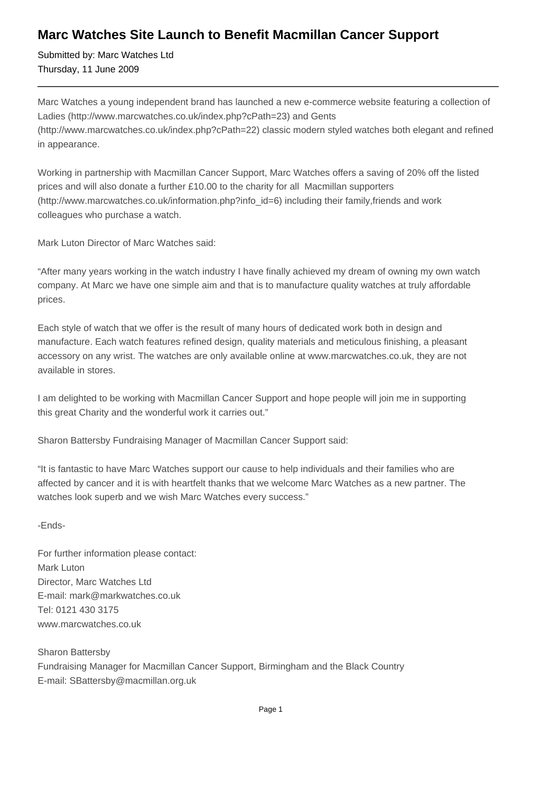## **Marc Watches Site Launch to Benefit Macmillan Cancer Support**

Submitted by: Marc Watches Ltd Thursday, 11 June 2009

Marc Watches a young independent brand has launched a new e-commerce website featuring a collection of Ladies (http://www.marcwatches.co.uk/index.php?cPath=23) and Gents (http://www.marcwatches.co.uk/index.php?cPath=22) classic modern styled watches both elegant and refined in appearance.

Working in partnership with Macmillan Cancer Support, Marc Watches offers a saving of 20% off the listed prices and will also donate a further £10.00 to the charity for all Macmillan supporters (http://www.marcwatches.co.uk/information.php?info\_id=6) including their family,friends and work colleagues who purchase a watch.

Mark Luton Director of Marc Watches said:

"After many years working in the watch industry I have finally achieved my dream of owning my own watch company. At Marc we have one simple aim and that is to manufacture quality watches at truly affordable prices.

Each style of watch that we offer is the result of many hours of dedicated work both in design and manufacture. Each watch features refined design, quality materials and meticulous finishing, a pleasant accessory on any wrist. The watches are only available online at www.marcwatches.co.uk, they are not available in stores.

I am delighted to be working with Macmillan Cancer Support and hope people will join me in supporting this great Charity and the wonderful work it carries out."

Sharon Battersby Fundraising Manager of Macmillan Cancer Support said:

"It is fantastic to have Marc Watches support our cause to help individuals and their families who are affected by cancer and it is with heartfelt thanks that we welcome Marc Watches as a new partner. The watches look superb and we wish Marc Watches every success."

## -Ends-

For further information please contact: Mark Luton Director, Marc Watches Ltd E-mail: mark@markwatches.co.uk Tel: 0121 430 3175 www.marcwatches.co.uk

Sharon Battersby Fundraising Manager for Macmillan Cancer Support, Birmingham and the Black Country E-mail: SBattersby@macmillan.org.uk